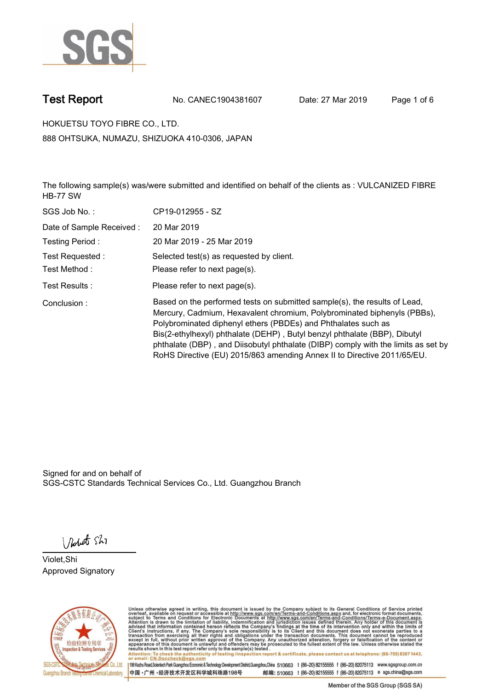

**Test Report. No. CANEC1904381607 Date: 27 Mar 2019. Page 1 of 6.**

**HOKUETSU TOYO FIBRE CO., LTD.. 888 OHTSUKA, NUMAZU, SHIZUOKA 410-0306, JAPAN**

**The following sample(s) was/were submitted and identified on behalf of the clients as : VULCANIZED FIBRE HB-77 SW.**

| SGS Job No.:             | CP19-012955 - SZ                                                                                                                                                                                                                                                                                                                                                                                                                                                   |
|--------------------------|--------------------------------------------------------------------------------------------------------------------------------------------------------------------------------------------------------------------------------------------------------------------------------------------------------------------------------------------------------------------------------------------------------------------------------------------------------------------|
| Date of Sample Received: | 20 Mar 2019                                                                                                                                                                                                                                                                                                                                                                                                                                                        |
| Testing Period:          | 20 Mar 2019 - 25 Mar 2019                                                                                                                                                                                                                                                                                                                                                                                                                                          |
| Test Requested:          | Selected test(s) as requested by client.                                                                                                                                                                                                                                                                                                                                                                                                                           |
| Test Method :            | Please refer to next page(s).                                                                                                                                                                                                                                                                                                                                                                                                                                      |
| Test Results :           | Please refer to next page(s).                                                                                                                                                                                                                                                                                                                                                                                                                                      |
| Conclusion:              | Based on the performed tests on submitted sample(s), the results of Lead,<br>Mercury, Cadmium, Hexavalent chromium, Polybrominated biphenyls (PBBs),<br>Polybrominated diphenyl ethers (PBDEs) and Phthalates such as<br>Bis(2-ethylhexyl) phthalate (DEHP), Butyl benzyl phthalate (BBP), Dibutyl<br>phthalate (DBP), and Diisobutyl phthalate (DIBP) comply with the limits as set by<br>RoHS Directive (EU) 2015/863 amending Annex II to Directive 2011/65/EU. |

Signed for and on behalf of SGS-CSTC Standards Technical Services Co., Ltd. Guangzhou Branch.

Nobet Shi

**Violet,Shi. Approved Signatory.**



Unless otherwise agreed in writing, this document is issued by the Company subject to its General Conditions of Service printed<br>overleaf, available on request or accessible at http://www.sgs.com/en/Terms-and-Conditions.asp Attention: To check the authenticity of testing /inspection report & certificate, please contact us at telephone: (86-755) 8307 1443,<br>Attention: To check the authenticity of testing /inspection report & certificate, please

198 Kezhu Road,Scientech Park Guangzhou Economic & Technology Development District,Guangzhou,China 510663 t (86-20) 82155555 f (86-20) 82075113 www.sgsgroup.com.cn 邮编: 510663 t (86-20) 82155555 f (86-20) 82075113 e sgs.china@sgs.com 中国·广州·经济技术开发区科学城科珠路198号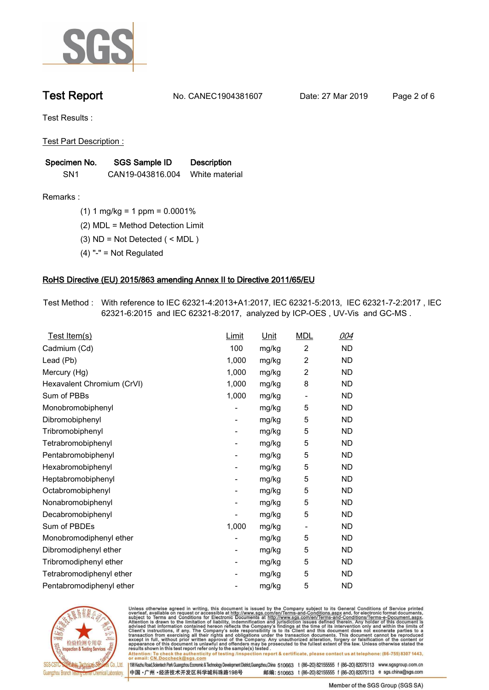

**Test Report. No. CANEC1904381607 Date: 27 Mar 2019. Page 2 of 6.**

**Test Results :.**

**Test Part Description :.**

| Specimen No.    | SGS Sample ID    | <b>Description</b> |  |
|-----------------|------------------|--------------------|--|
| SN <sub>1</sub> | CAN19-043816.004 | White material     |  |

**Remarks :.(1) 1 mg/kg = 1 ppm = 0.0001%.**

**(2) MDL = Method Detection Limit.**

**(3) ND = Not Detected ( < MDL ).**

**(4) "-" = Not Regulated.**

### **RoHS Directive (EU) 2015/863 amending Annex II to Directive 2011/65/EU.**

**Test Method :. With reference to IEC 62321-4:2013+A1:2017, IEC 62321-5:2013, IEC 62321-7-2:2017 , IEC 62321-6:2015 and IEC 62321-8:2017, analyzed by ICP-OES , UV-Vis and GC-MS ..**

| Test Item(s)               | <u>Limit</u>             | <u>Unit</u> | <b>MDL</b>               | <u>004</u> |
|----------------------------|--------------------------|-------------|--------------------------|------------|
| Cadmium (Cd)               | 100                      | mg/kg       | 2                        | <b>ND</b>  |
| Lead (Pb)                  | 1,000                    | mg/kg       | $\overline{2}$           | <b>ND</b>  |
| Mercury (Hg)               | 1,000                    | mg/kg       | 2                        | <b>ND</b>  |
| Hexavalent Chromium (CrVI) | 1,000                    | mg/kg       | 8                        | <b>ND</b>  |
| Sum of PBBs                | 1,000                    | mg/kg       | $\overline{\phantom{a}}$ | <b>ND</b>  |
| Monobromobiphenyl          |                          | mg/kg       | 5                        | <b>ND</b>  |
| Dibromobiphenyl            | $\overline{\phantom{a}}$ | mg/kg       | 5                        | <b>ND</b>  |
| Tribromobiphenyl           | $\overline{\phantom{a}}$ | mg/kg       | 5                        | <b>ND</b>  |
| Tetrabromobiphenyl         | $\overline{\phantom{a}}$ | mg/kg       | 5                        | <b>ND</b>  |
| Pentabromobiphenyl         | -                        | mg/kg       | 5                        | <b>ND</b>  |
| Hexabromobiphenyl          |                          | mg/kg       | 5                        | <b>ND</b>  |
| Heptabromobiphenyl         | -                        | mg/kg       | 5                        | <b>ND</b>  |
| Octabromobiphenyl          | ۰                        | mg/kg       | 5                        | <b>ND</b>  |
| Nonabromobiphenyl          |                          | mg/kg       | 5                        | <b>ND</b>  |
| Decabromobiphenyl          |                          | mg/kg       | 5                        | <b>ND</b>  |
| Sum of PBDEs               | 1,000                    | mg/kg       | $\overline{\phantom{a}}$ | <b>ND</b>  |
| Monobromodiphenyl ether    |                          | mg/kg       | 5                        | <b>ND</b>  |
| Dibromodiphenyl ether      | $\overline{\phantom{a}}$ | mg/kg       | 5                        | <b>ND</b>  |
| Tribromodiphenyl ether     | $\overline{\phantom{a}}$ | mg/kg       | 5                        | <b>ND</b>  |
| Tetrabromodiphenyl ether   |                          | mg/kg       | 5                        | <b>ND</b>  |
| Pentabromodiphenyl ether   |                          | mg/kg       | 5                        | <b>ND</b>  |
|                            |                          |             |                          |            |



Unless otherwise agreed in writing, this document is issued by the Company subject to its General Conditions of Service printed<br>overleaf, available on request or accessible at http://www.sgs.com/en/Terms-and-Conditions.asp Attention: To check the authenticity of testing /inspection report & certificate, please contact us at telephone: (86-755) 8307 1443,<br>Attention: To check the authenticity of testing /inspection report & certificate, please

198 Kezhu Road,Scientech Park Guangzhou Economic & Technology Development District,Guangzhou,China 510663 t (86-20) 82155555 f (86-20) 82075113 www.sgsgroup.com.cn 邮编: 510663 t (86-20) 82155555 f (86-20) 82075113 e sgs.china@sgs.com 中国·广州·经济技术开发区科学城科珠路198号

Member of the SGS Group (SGS SA)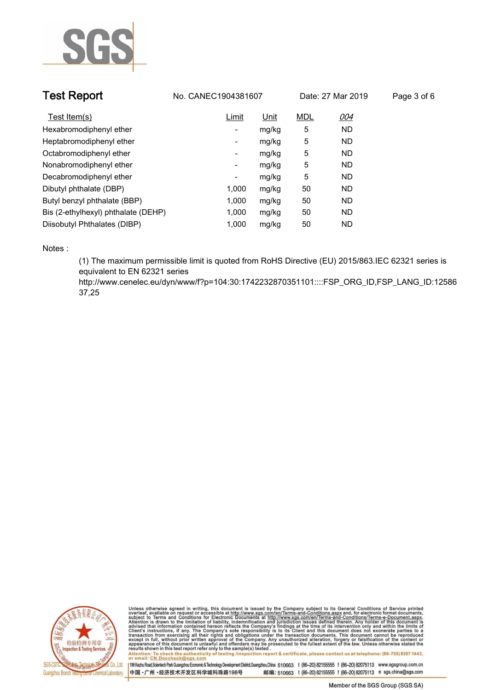

| <b>Test Report</b>                  | No. CANEC1904381607 |             |            | Date: 27 Mar 2019 | Page 3 of 6 |
|-------------------------------------|---------------------|-------------|------------|-------------------|-------------|
| Test Item(s)                        | Limit               | <u>Unit</u> | <b>MDL</b> | 004               |             |
| Hexabromodiphenyl ether             | ۰                   | mg/kg       | 5          | <b>ND</b>         |             |
| Heptabromodiphenyl ether            | ۰                   | mg/kg       | 5          | <b>ND</b>         |             |
| Octabromodiphenyl ether             | Ξ.                  | mg/kg       | 5          | <b>ND</b>         |             |
| Nonabromodiphenyl ether             | Ξ.                  | mg/kg       | 5          | <b>ND</b>         |             |
| Decabromodiphenyl ether             | -                   | mg/kg       | 5          | <b>ND</b>         |             |
| Dibutyl phthalate (DBP)             | 1.000               | mg/kg       | 50         | <b>ND</b>         |             |
| Butyl benzyl phthalate (BBP)        | 1,000               | mg/kg       | 50         | <b>ND</b>         |             |
| Bis (2-ethylhexyl) phthalate (DEHP) | 1,000               | mg/kg       | 50         | <b>ND</b>         |             |
| Diisobutyl Phthalates (DIBP)        | 1.000               | mg/kg       | 50         | ND.               |             |

**Notes :.**

**(1) The maximum permissible limit is quoted from RoHS Directive (EU) 2015/863.IEC 62321 series is equivalent to EN 62321 series** 

**http://www.cenelec.eu/dyn/www/f?p=104:30:1742232870351101::::FSP\_ORG\_ID,FSP\_LANG\_ID:12586 37,25.**



Unless otherwise agreed in writing, this document is issued by the Company subject to its General Conditions of Service printed<br>overleaf, available on request or accessible at http://www.sgs.com/en/Terms-and-Conditions.asp Attention: To check the authenticity of testing /inspection report & certificate, please contact us at telephone: (86-755) 8307 1443,<br>Attention: To check the authenticity of testing /inspection report & certificate, please

198 Kezhu Road,Scientech Park Guangzhou Economic & Technology Development District,Guangzhou,China 510663 t (86-20) 82155555 f (86-20) 82075113 www.sgsgroup.com.cn 中国·广州·经济技术开发区科学城科珠路198号 邮编: 510663 t (86-20) 82155555 f (86-20) 82075113 e sgs.china@sgs.com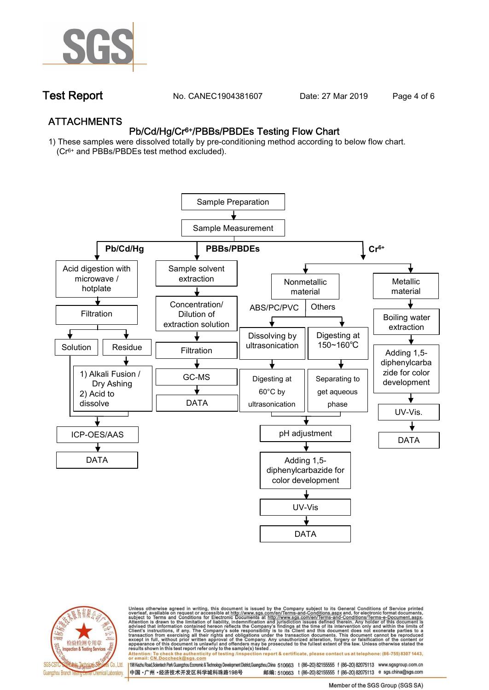

**Test Report. No. CANEC1904381607** Date: 27 Mar 2019 Page 4 of 6

## **ATTACHMENTS Pb/Cd/Hg/Cr6+/PBBs/PBDEs Testing Flow Chart**

**1) These samples were dissolved totally by pre-conditioning method according to below flow chart. (Cr6+ and PBBs/PBDEs test method excluded).**





Unless otherwise agreed in writing, this document is issued by the Company subject to its General Conditions of Service printed<br>overleaf, available on request or accessible at http://www.sgs.com/en/Terms-and-Conditions.asp résults shown in this test report refer only to the sample(s) tésted .<br>Attention: To check the authenticity of testing /inspection report & certificate, please contact us at telephone: (86-755) 8307 1443,<br>or email: <u>CN.Doc</u>

198 Kezhu Road,Scientech Park Guangzhou Economic & Technology Development District,Guangzhou,China 510663 t (86-20) 82155555 f (86-20) 82075113 www.sgsgroup.com.cn 邮编: 510663 t (86-20) 82155555 f (86-20) 82075113 e sgs.china@sgs.com 中国·广州·经济技术开发区科学城科珠路198号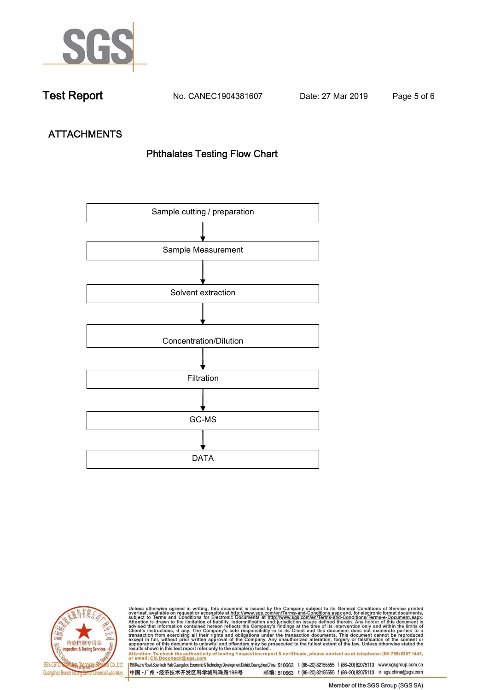

**Test Report. No. CANEC1904381607 Date: 27 Mar 2019. Page 5 of 6.**

# **ATTACHMENTS Phthalates Testing Flow Chart**





Unless otherwise agreed in writing, this document is issued by the Company subject to its General Conditions of Service printed<br>overleaf, available on request or accessible at http://www.sgs.com/en/Terms-and-Conditions.asp results shown in this test report refer only to the sample(s) tested .<br>Attention: To check the authenticity of testing /inspection report & certificate, please contact us at telephone: (86-755) 8307 1443,<br>or email: <u>CN.Doc</u>

198 Kezhu Road,Scientech Park Guangzhou Economic & Technology Development District,Guangzhou,China 510663 t (86-20) 82155555 f (86-20) 82075113 www.sgsgroup.com.cn 中国·广州·经济技术开发区科学城科珠路198号 邮编: 510663 t (86-20) 82155555 f (86-20) 82075113 e sgs.china@sgs.com